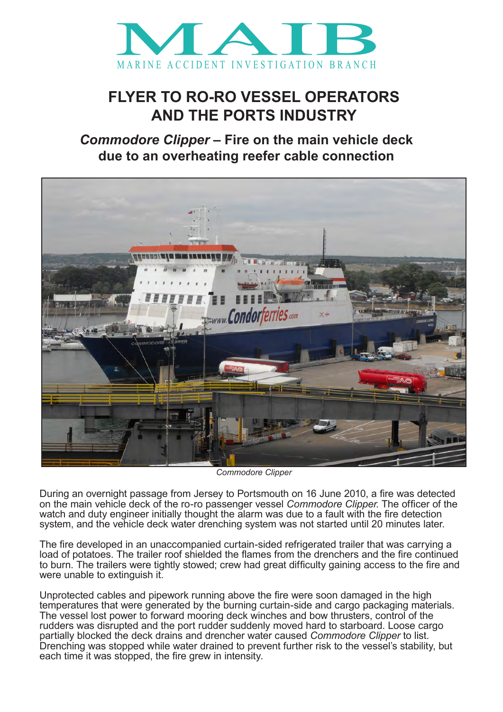

## **FLYER TO RO-RO VESSEL OPERATORS AND THE PORTS INDUSTRY**

*Commodore Clipper* **– Fire on the main vehicle deck due to an overheating reefer cable connection**



*Commodore Clipper*

During an overnight passage from Jersey to Portsmouth on 16 June 2010, a fire was detected on the main vehicle deck of the ro-ro passenger vessel *Commodore Clipper*. The officer of the watch and duty engineer initially thought the alarm was due to a fault with the fire detection system, and the vehicle deck water drenching system was not started until 20 minutes later.

The fire developed in an unaccompanied curtain-sided refrigerated trailer that was carrying a load of potatoes. The trailer roof shielded the flames from the drenchers and the fire continued to burn. The trailers were tightly stowed; crew had great difficulty gaining access to the fire and were unable to extinguish it.

Unprotected cables and pipework running above the fire were soon damaged in the high temperatures that were generated by the burning curtain-side and cargo packaging materials. The vessel lost power to forward mooring deck winches and bow thrusters, control of the rudders was disrupted and the port rudder suddenly moved hard to starboard. Loose cargo partially blocked the deck drains and drencher water caused *Commodore Clipper* to list. Drenching was stopped while water drained to prevent further risk to the vessel's stability, but each time it was stopped, the fire grew in intensity.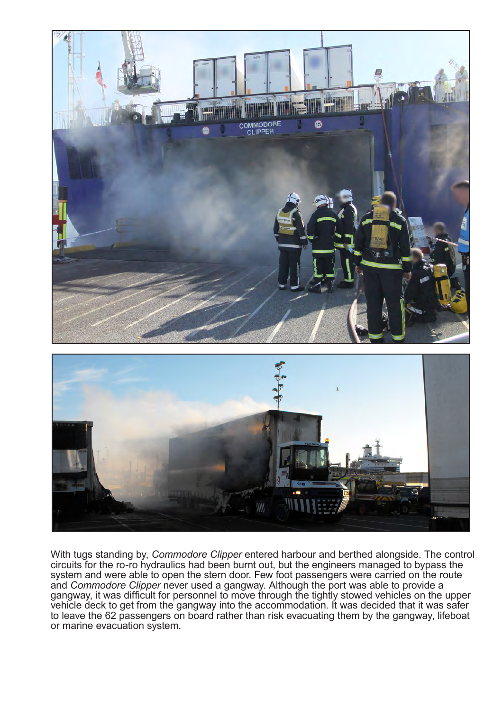

With tugs standing by, *Commodore Clipper* entered harbour and berthed alongside. The control circuits for the ro-ro hydraulics had been burnt out, but the engineers managed to bypass the system and were able to open the stern door. Few foot passengers were carried on the route and *Commodore Clipper* never used a gangway. Although the port was able to provide a gangway, it was difficult for personnel to move through the tightly stowed vehicles on the upper vehicle deck to get from the gangway into the accommodation. It was decided that it was safer to leave the 62 passengers on board rather than risk evacuating them by the gangway, lifeboat or marine evacuation system.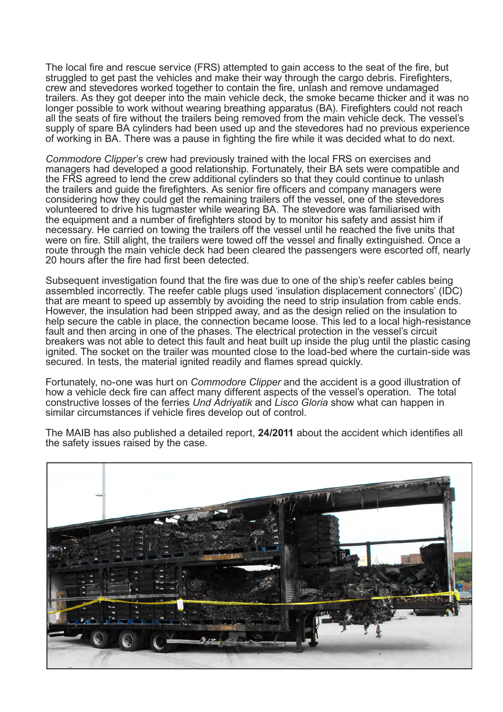The local fire and rescue service (FRS) attempted to gain access to the seat of the fire, but struggled to get past the vehicles and make their way through the cargo debris. Firefighters, crew and stevedores worked together to contain the fire, unlash and remove undamaged trailers. As they got deeper into the main vehicle deck, the smoke became thicker and it was no longer possible to work without wearing breathing apparatus (BA). Firefighters could not reach all the seats of fire without the trailers being removed from the main vehicle deck. The vessel's supply of spare BA cylinders had been used up and the stevedores had no previous experience of working in BA. There was a pause in fighting the fire while it was decided what to do next.

*Commodore Clipper*'s crew had previously trained with the local FRS on exercises and managers had developed a good relationship. Fortunately, their BA sets were compatible and the FRS agreed to lend the crew additional cylinders so that they could continue to unlash the trailers and guide the firefighters. As senior fire officers and company managers were considering how they could get the remaining trailers off the vessel, one of the stevedores volunteered to drive his tugmaster while wearing BA. The stevedore was familiarised with the equipment and a number of firefighters stood by to monitor his safety and assist him if necessary. He carried on towing the trailers off the vessel until he reached the five units that were on fire. Still alight, the trailers were towed off the vessel and finally extinguished. Once a route through the main vehicle deck had been cleared the passengers were escorted off, nearly 20 hours after the fire had first been detected.

Subsequent investigation found that the fire was due to one of the ship's reefer cables being assembled incorrectly. The reefer cable plugs used 'insulation displacement connectors' (IDC) that are meant to speed up assembly by avoiding the need to strip insulation from cable ends. However, the insulation had been stripped away, and as the design relied on the insulation to help secure the cable in place, the connection became loose. This led to a local high-resistance fault and then arcing in one of the phases. The electrical protection in the vessel's circuit breakers was not able to detect this fault and heat built up inside the plug until the plastic casing ignited. The socket on the trailer was mounted close to the load-bed where the curtain-side was secured. In tests, the material ignited readily and flames spread quickly.

Fortunately, no-one was hurt on *Commodore Clipper* and the accident is a good illustration of how a vehicle deck fire can affect many different aspects of the vessel's operation. The total constructive losses of the ferries *Und Adriyatik* and *Lisco Gloria* show what can happen in similar circumstances if vehicle fires develop out of control.

The MAIB has also published a detailed report, **24/2011** about the accident which identifies all the safety issues raised by the case.